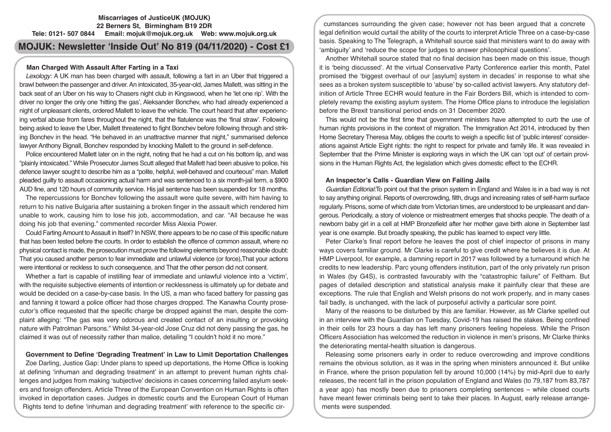## **Miscarriages of JusticeUK (MOJUK) 22 Berners St, Birmingham B19 2DR Tele: 0121- 507 0844 Email: mojuk@mojuk.org.uk Web: www.mojuk.org.uk**

# **MOJUK: Newsletter 'Inside Out' No 819 (04/11/2020) - Cost £1**

## **Man Charged With Assault After Farting in a Taxi**

*Lexology:* A UK man has been charged with assault, following a fart in an Uber that triggered a brawl between the passenger and driver. An intoxicated, 35-year-old, James Mallett, was sitting in the back seat of an Uber on his way to Chasers night club in Kingswood, when he 'let one rip'. With the driver no longer the only one 'hitting the gas', Aleksander Bonchev, who had already experienced a night of unpleasant clients, ordered Mallett to leave the vehicle. The court heard that after experiencing verbal abuse from fares throughout the night, that the flatulence was the 'final straw'. Following being asked to leave the Uber, Mallett threatened to fight Bonchev before following through and striking Bonchev in the head. "He behaved in an unattractive manner that night," summarised defence lawyer Anthony Bignall, Bonchev responded by knocking Mallett to the ground in self-defence.

Police encountered Mallett later on in the night, noting that he had a cut on his bottom lip, and was "plainly intoxicated." While Prosecutor James Scutt alleged that Mallett had been abusive to police, his defence lawyer sought to describe him as a "polite, helpful, well-behaved and courteous" man. Mallett pleaded guilty to assault occasioning actual harm and was sentenced to a six month-jail term, a \$900 AUD fine, and 120 hours of community service. His jail sentence has been suspended for 18 months.

The repercussions for Bonchev following the assault were quite severe, with him having to return to his native Bulgaria after sustaining a broken finger in the assault which rendered him unable to work, causing him to lose his job, accommodation, and car. "All because he was doing his job that evening." commented recorder Miss Alexia Power.

Could Farting Amount to Assault in Itself? In NSW, there appears to be no case of this specific nature that has been tested before the courts. In order to establish the offence of common assault, where no physical contact is made, the prosecution must prove the following elements beyond reasonable doubt: That you caused another person to fear immediate and unlawful violence (or force),That your actions were intentional or reckless to such consequence, and That the other person did not consent.

Whether a fart is capable of instilling fear of immediate and unlawful violence into a 'victim', with the requisite subjective elements of intention or recklessness is ultimately up for debate and would be decided on a case-by-case basis. In the US, a man who faced battery for passing gas and fanning it toward a police officer had those charges dropped. The Kanawha County prosecutor's office requested that the specific charge be dropped against the man, despite the complaint alleging: "The gas was very odorous and created contact of an insulting or provoking nature with Patrolman Parsons." Whilst 34-year-old Jose Cruz did not deny passing the gas, he claimed it was out of necessity rather than malice, detailing "I couldn't hold it no more."

# **Government to Define 'Degrading Treatment' in Law to Limit Deportation Challenges**

Zoe Darling, Justice Gap: Under plans to speed up deportations, the Home Office is looking at defining 'inhuman and degrading treatment' in an attempt to prevent human rights challenges and judges from making 'subjective' decisions in cases concerning failed asylum seekers and foreign offenders. Article Three of the European Convention on Human Rights is often invoked in deportation cases. Judges in domestic courts and the European Court of Human Rights tend to define 'inhuman and degrading treatment' with reference to the specific cir-

cumstances surrounding the given case; however not has been argued that a concrete legal definition would curtail the ability of the courts to interpret Article Three on a case-by-case basis. Speaking to The Telegraph, a Whitehall source said that ministers want to do away with 'ambiguity' and 'reduce the scope for judges to answer philosophical questions'.

Another Whitehall source stated that no final decision has been made on this issue, though it is 'being discussed'. At the virtual Conservative Party Conference earlier this month, Patel promised the 'biggest overhaul of our [asylum] system in decades' in response to what she sees as a broken system susceptible to 'abuse' by so-called activist lawyers. Any statutory definition of Article Three ECHR would feature in the Fair Borders Bill, which is intended to completely revamp the existing asylum system. The Home Office plans to introduce the legislation before the Brexit transitional period ends on 31 December 2020.

This would not be the first time that government ministers have attempted to curb the use of human rights provisions in the context of migration. The Immigration Act 2014, introduced by then Home Secretary Theresa May, obliges the courts to weigh a specific list of 'public interest' considerations against Article Eight rights: the right to respect for private and family life. It was revealed in September that the Prime Minister is exploring ways in which the UK can 'opt out' of certain provisions in the Human Rights Act, the legislation which gives domestic effect to the ECHR.

### **An Inspector's Calls - Guardian View on Failing Jails**

*Guardian Editorial:*To point out that the prison system in England and Wales is in a bad way is not to say anything original. Reports of overcrowding, filth, drugs and increasing rates of self-harm surface regularly. Prisons, some of which date from Victorian times, are understood to be unpleasant and dangerous. Periodically, a story of violence or mistreatment emerges that shocks people. The death of a newborn baby girl in a cell at HMP Bronzefield after her mother gave birth alone in September last year is one example. But broadly speaking, the public has learned to expect very little.

Peter Clarke's final report before he leaves the post of chief inspector of prisons in many ways covers familiar ground. Mr Clarke is careful to give credit where he believes it is due. At HMP Liverpool, for example, a damning report in 2017 was followed by a turnaround which he credits to new leadership. Parc young offenders institution, part of the only privately run prison in Wales (by G4S), is contrasted favourably with the "catastrophic failure" of Feltham. But pages of detailed description and statistical analysis make it painfully clear that these are exceptions. The rule that English and Welsh prisons do not work properly, and in many cases fail badly, is unchanged, with the lack of purposeful activity a particular sore point.

Many of the reasons to be disturbed by this are familiar. However, as Mr Clarke spelled out in an interview with the Guardian on Tuesday, Covid-19 has raised the stakes. Being confined in their cells for 23 hours a day has left many prisoners feeling hopeless. While the Prison Officers Association has welcomed the reduction in violence in men's prisons, Mr Clarke thinks the deteriorating mental-health situation is dangerous.

Releasing some prisoners early in order to reduce overcrowding and improve conditions remains the obvious solution, as it was in the spring when ministers announced it. But unlike in France, where the prison population fell by around 10,000 (14%) by mid-April due to early releases, the recent fall in the prison population of England and Wales (to 79,187 from 83,787 a year ago) has mostly been due to prisoners completing sentences – while closed courts have meant fewer criminals being sent to take their places. In August, early release arrangements were suspended.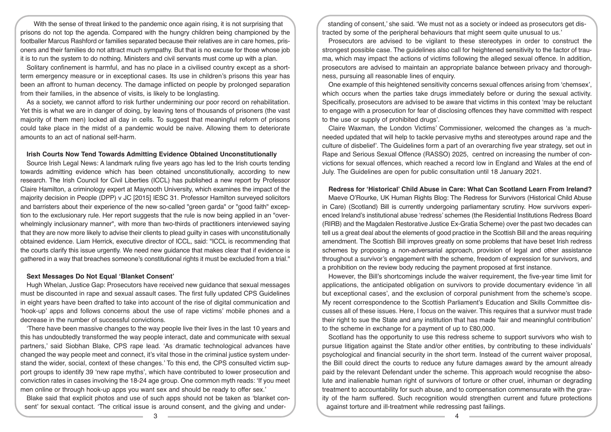With the sense of threat linked to the pandemic once again rising, it is not surprising that prisons do not top the agenda. Compared with the hungry children being championed by the footballer Marcus Rashford or families separated because their relatives are in care homes, prisoners and their families do not attract much sympathy. But that is no excuse for those whose job it is to run the system to do nothing. Ministers and civil servants must come up with a plan.

Solitary confinement is harmful, and has no place in a civilised country except as a shortterm emergency measure or in exceptional cases. Its use in children's prisons this year has been an affront to human decency. The damage inflicted on people by prolonged separation from their families, in the absence of visits, is likely to be longlasting.

As a society, we cannot afford to risk further undermining our poor record on rehabilitation. Yet this is what we are in danger of doing, by leaving tens of thousands of prisoners (the vast majority of them men) locked all day in cells. To suggest that meaningful reform of prisons could take place in the midst of a pandemic would be naive. Allowing them to deteriorate amounts to an act of national self-harm.

### **Irish Courts Now Tend Towards Admitting Evidence Obtained Unconstitutionally**

Source Irish Legal News: A landmark ruling five years ago has led to the Irish courts tending towards admitting evidence which has been obtained unconstitutionally, according to new research. The Irish Council for Civil Liberties (ICCL) has published a new report by Professor Claire Hamilton, a criminology expert at Maynooth University, which examines the impact of the majority decision in People (DPP) v JC [2015] IESC 31. Professor Hamilton surveyed solicitors and barristers about their experience of the new so-called "green garda" or "good faith" exception to the exclusionary rule. Her report suggests that the rule is now being applied in an "overwhelmingly inclusionary manner", with more than two-thirds of practitioners interviewed saying that they are now more likely to advise their clients to plead guilty in cases with unconstitutionally obtained evidence. Liam Herrick, executive director of ICCL, said: "ICCL is recommending that the courts clarify this issue urgently. We need new guidance that makes clear that if evidence is gathered in a way that breaches someone's constitutional rights it must be excluded from a trial."

### **Sext Messages Do Not Equal 'Blanket Consent'**

Hugh Whelan, Justice Gap: Prosecutors have received new guidance that sexual messages must be discounted in rape and sexual assault cases. The first fully updated CPS Guidelines in eight years have been drafted to take into account of the rise of digital communication and 'hook-up' apps and follows concerns about the use of rape victims' mobile phones and a decrease in the number of successful convictions.

'There have been massive changes to the way people live their lives in the last 10 years and this has undoubtedly transformed the way people interact, date and communicate with sexual partners,' said Siobhan Blake, CPS rape lead. 'As dramatic technological advances have changed the way people meet and connect, it's vital those in the criminal justice system understand the wider, social, context of these changes.' To this end, the CPS consulted victim support groups to identify 39 'new rape myths', which have contributed to lower prosecution and conviction rates in cases involving the 18-24 age group. One common myth reads: 'If you meet men online or through hook-up apps you want sex and should be ready to offer sex.'

Blake said that explicit photos and use of such apps should not be taken as 'blanket consent' for sexual contact. 'The critical issue is around consent, and the giving and under-

standing of consent,' she said. 'We must not as a society or indeed as prosecutors get distracted by some of the peripheral behaviours that might seem quite unusual to us.'

Prosecutors are advised to be vigilant to these stereotypes in order to construct the strongest possible case. The guidelines also call for heightened sensitivity to the factor of trauma, which may impact the actions of victims following the alleged sexual offence. In addition, prosecutors are advised to maintain an appropriate balance between privacy and thoroughness, pursuing all reasonable lines of enquiry.

One example of this heightened sensitivity concerns sexual offences arising from 'chemsex', which occurs when the parties take drugs immediately before or during the sexual activity. Specifically, prosecutors are advised to be aware that victims in this context 'may be reluctant to engage with a prosecution for fear of disclosing offences they have committed with respect to the use or supply of prohibited drugs'.

Claire Waxman, the London Victims' Commissioner, welcomed the changes as 'a muchneeded updated that will help to tackle pervasive myths and stereotypes around rape and the culture of disbelief'. The Guidelines form a part of an overarching five year strategy, set out in Rape and Serious Sexual Offence (RASSO) 2025, centred on increasing the number of convictions for sexual offences, which reached a record low in England and Wales at the end of July. The Guidelines are open for public consultation until 18 January 2021.

### **Redress for 'Historical' Child Abuse in Care: What Can Scotland Learn From Ireland?**

Maeve O'Rourke, UK Human Rights Blog: The Redress for Survivors (Historical Child Abuse in Care) (Scotland) Bill is currently undergoing parliamentary scrutiny. How survivors experienced Ireland's institutional abuse 'redress' schemes (the Residential Institutions Redress Board (RIRB) and the Magdalen Restorative Justice Ex-Gratia Scheme) over the past two decades can tell us a great deal about the elements of good practice in the Scottish Bill and the areas requiring amendment. The Scottish Bill improves greatly on some problems that have beset Irish redress schemes by proposing a non-adversarial approach, provision of legal and other assistance throughout a survivor's engagement with the scheme, freedom of expression for survivors, and a prohibition on the review body reducing the payment proposed at first instance.

However, the Bill's shortcomings include the waiver requirement, the five-year time limit for applications, the anticipated obligation on survivors to provide documentary evidence 'in all but exceptional cases', and the exclusion of corporal punishment from the scheme's scope. My recent correspondence to the Scottish Parliament's Education and Skills Committee discusses all of these issues. Here, I focus on the waiver. This requires that a survivor must trade their right to sue the State and any institution that has made 'fair and meaningful contribution' to the scheme in exchange for a payment of up to £80,000.

Scotland has the opportunity to use this redress scheme to support survivors who wish to pursue litigation against the State and/or other entities, by contributing to these individuals' psychological and financial security in the short term. Instead of the current waiver proposal, the Bill could direct the courts to reduce any future damages award by the amount already paid by the relevant Defendant under the scheme. This approach would recognise the absolute and inalienable human right of survivors of torture or other cruel, inhuman or degrading treatment to accountability for such abuse, and to compensation commensurate with the gravity of the harm suffered. Such recognition would strengthen current and future protections against torture and ill-treatment while redressing past failings.

 $\overline{3}$   $\overline{4}$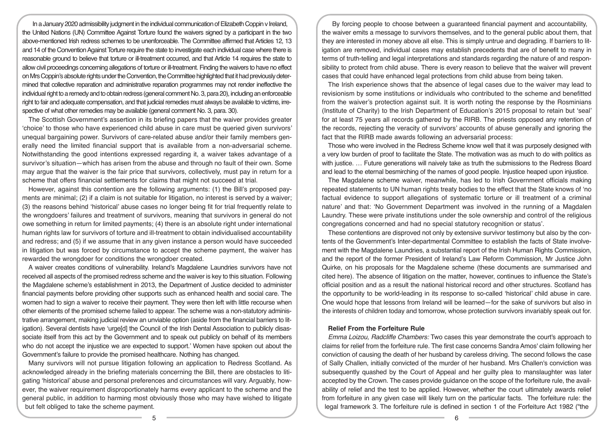In a January 2020 admissibility judgment in the individual communication of Elizabeth Coppin v Ireland, the United Nations (UN) Committee Against Torture found the waivers signed by a participant in the two above-mentioned Irish redress schemes to be unenforceable. The Committee affirmed that Articles 12, 13 and 14 of the Convention Against Torture require the state to investigate each individual case where there is reasonable ground to believe that torture or ill-treatment occurred, and that Article 14 requires the state to allow civil proceedings concerning allegations of torture or ill-treatment. Finding the waivers to have no effect on Mrs Coppin's absolute rights under the Convention, the Committee highlighted that it had previously determined that collective reparation and administrative reparation programmes may not render ineffective the individual right to a remedy and to obtain redress (general comment No. 3, para 20), including an enforceable right to fair and adequate compensation, and that judicial remedies must always be available to victims, irrespective of what other remedies may be available (general comment No. 3, para. 30).

The Scottish Government's assertion in its briefing papers that the waiver provides greater 'choice' to those who have experienced child abuse in care must be queried given survivors' unequal bargaining power. Survivors of care-related abuse and/or their family members generally need the limited financial support that is available from a non-adversarial scheme. Notwithstanding the good intentions expressed regarding it, a waiver takes advantage of a survivor's situation—which has arisen from the abuse and through no fault of their own. Some may argue that the waiver is the fair price that survivors, collectively, must pay in return for a scheme that offers financial settlements for claims that might not succeed at trial.

However, against this contention are the following arguments: (1) the Bill's proposed payments are minimal; (2) if a claim is not suitable for litigation, no interest is served by a waiver; (3) the reasons behind 'historical' abuse cases no longer being fit for trial frequently relate to the wrongdoers' failures and treatment of survivors, meaning that survivors in general do not owe something in return for limited payments; (4) there is an absolute right under international human rights law for survivors of torture and ill-treatment to obtain individualised accountability and redress; and (5) if we assume that in any given instance a person would have succeeded in litigation but was forced by circumstance to accept the scheme payment, the waiver has rewarded the wrongdoer for conditions the wrongdoer created.

A waiver creates conditions of vulnerability. Ireland's Magdalene Laundries survivors have not received all aspects of the promised redress scheme and the waiver is key to this situation. Following the Magdalene scheme's establishment in 2013, the Department of Justice decided to administer financial payments before providing other supports such as enhanced health and social care. The women had to sign a waiver to receive their payment. They were then left with little recourse when other elements of the promised scheme failed to appear. The scheme was a non-statutory administrative arrangement, making judicial review an unviable option (aside from the financial barriers to litigation). Several dentists have 'urge[d] the Council of the Irish Dental Association to publicly disassociate itself from this act by the Government and to speak out publicly on behalf of its members who do not accept the injustice we are expected to support.' Women have spoken out about the Government's failure to provide the promised healthcare. Nothing has changed.

Many survivors will not pursue litigation following an application to Redress Scotland. As acknowledged already in the briefing materials concerning the Bill, there are obstacles to litigating 'historical' abuse and personal preferences and circumstances will vary. Arguably, however, the waiver requirement disproportionately harms every applicant to the scheme and the general public, in addition to harming most obviously those who may have wished to litigate but felt obliged to take the scheme payment.

By forcing people to choose between a guaranteed financial payment and accountability, the waiver emits a message to survivors themselves, and to the general public about them, that they are interested in money above all else. This is simply untrue and degrading. If barriers to litigation are removed, individual cases may establish precedents that are of benefit to many in terms of truth-telling and legal interpretations and standards regarding the nature of and responsibility to protect from child abuse. There is every reason to believe that the waiver will prevent cases that could have enhanced legal protections from child abuse from being taken.

The Irish experience shows that the absence of legal cases due to the waiver may lead to revisionism by some institutions or individuals who contributed to the scheme and benefitted from the waiver's protection against suit. It is worth noting the response by the Rosminians (Institute of Charity) to the Irish Department of Education's 2015 proposal to retain but 'seal' for at least 75 years all records gathered by the RIRB. The priests opposed any retention of the records, rejecting the veracity of survivors' accounts of abuse generally and ignoring the fact that the RIRB made awards following an adversarial process:

Those who were involved in the Redress Scheme know well that it was purposely designed with a very low burden of proof to facilitate the State. The motivation was as much to do with politics as with justice. … Future generations will naively take as truth the submissions to the Redress Board and lead to the eternal besmirching of the names of good people. Injustice heaped upon injustice.

The Magdalene scheme waiver, meanwhile, has led to Irish Government officials making repeated statements to UN human rights treaty bodies to the effect that the State knows of 'no factual evidence to support allegations of systematic torture or ill treatment of a criminal nature' and that: 'No Government Department was involved in the running of a Magdalen Laundry. These were private institutions under the sole ownership and control of the religious congregations concerned and had no special statutory recognition or status'.

These contentions are disproved not only by extensive survivor testimony but also by the contents of the Government's Inter-departmental Committee to establish the facts of State involvement with the Magdalene Laundries, a substantial report of the Irish Human Rights Commission, and the report of the former President of Ireland's Law Reform Commission, Mr Justice John Quirke, on his proposals for the Magdalene scheme (these documents are summarised and cited here). The absence of litigation on the matter, however, continues to influence the State's official position and as a result the national historical record and other structures. Scotland has the opportunity to be world-leading in its response to so-called 'historical' child abuse in care. One would hope that lessons from Ireland will be learned—for the sake of survivors but also in the interests of children today and tomorrow, whose protection survivors invariably speak out for.

### **Relief From the Forfeiture Rule**

*Emma Loizou, Radcliffe Chambers:* Two cases this year demonstrate the court's approach to claims for relief from the forfeiture rule. The first case concerns Sandra Amos' claim following her conviction of causing the death of her husband by careless driving. The second follows the case of Sally Challen, initially convicted of the murder of her husband. Mrs Challen's conviction was subsequently quashed by the Court of Appeal and her guilty plea to manslaughter was later accepted by the Crown. The cases provide guidance on the scope of the forfeiture rule, the availability of relief and the test to be applied. However, whether the court ultimately awards relief from forfeiture in any given case will likely turn on the particular facts. The forfeiture rule: the legal framework 3. The forfeiture rule is defined in section 1 of the Forfeiture Act 1982 ("the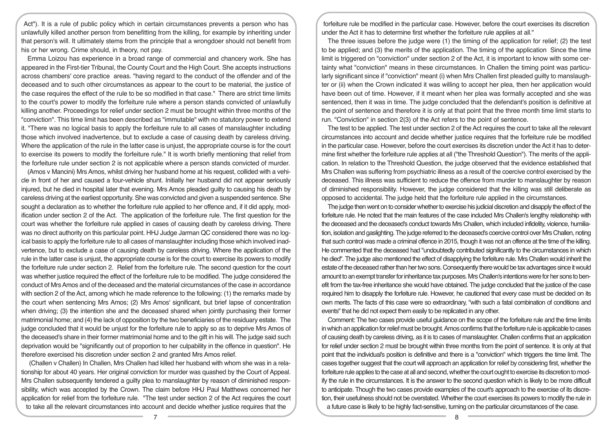Act"). It is a rule of public policy which in certain circumstances prevents a person who has unlawfully killed another person from benefitting from the killing, for example by inheriting under that person's will. It ultimately stems from the principle that a wrongdoer should not benefit from his or her wrong. Crime should, in theory, not pay.

Emma Loizou has experience in a broad range of commercial and chancery work. She has appeared in the First-tier Tribunal, the County Court and the High Court. She accepts instructions across chambers' core practice areas. "having regard to the conduct of the offender and of the deceased and to such other circumstances as appear to the court to be material, the justice of the case requires the effect of the rule to be so modified in that case." There are strict time limits to the court's power to modify the forfeiture rule where a person stands convicted of unlawfully killing another. Proceedings for relief under section 2 must be brought within three months of the "conviction". This time limit has been described as "immutable" with no statutory power to extend it. "There was no logical basis to apply the forfeiture rule to all cases of manslaughter including those which involved inadvertence, but to exclude a case of causing death by careless driving. Where the application of the rule in the latter case is unjust, the appropriate course is for the court to exercise its powers to modify the forfeiture rule." It is worth briefly mentioning that relief from the forfeiture rule under section 2 is not applicable where a person stands convicted of murder.

(Amos v Mancini) Mrs Amos, whilst driving her husband home at his request, collided with a vehicle in front of her and caused a four-vehicle shunt. Initially her husband did not appear seriously injured, but he died in hospital later that evening. Mrs Amos pleaded guilty to causing his death by careless driving at the earliest opportunity. She was convicted and given a suspended sentence. She sought a declaration as to whether the forfeiture rule applied to her offence and, if it did apply, modification under section 2 of the Act. The application of the forfeiture rule. The first question for the court was whether the forfeiture rule applied in cases of causing death by careless driving. There was no direct authority on this particular point. HHJ Judge Jarman QC considered there was no logical basis to apply the forfeiture rule to all cases of manslaughter including those which involved inadvertence, but to exclude a case of causing death by careless driving. Where the application of the rule in the latter case is unjust, the appropriate course is for the court to exercise its powers to modify the forfeiture rule under section 2. Relief from the forfeiture rule. The second question for the court was whether justice required the effect of the forfeiture rule to be modified. The judge considered the conduct of Mrs Amos and of the deceased and the material circumstances of the case in accordance with section 2 of the Act, among which he made reference to the following: (1) the remarks made by the court when sentencing Mrs Amos; (2) Mrs Amos' significant, but brief lapse of concentration when driving; (3) the intention she and the deceased shared when jointly purchasing their former matrimonial home; and (4) the lack of opposition by the two beneficiaries of the residuary estate. The judge concluded that it would be unjust for the forfeiture rule to apply so as to deprive Mrs Amos of the deceased's share in their former matrimonial home and to the gift in his will. The judge said such deprivation would be "significantly out of proportion to her culpability in the offence in question". He therefore exercised his discretion under section 2 and granted Mrs Amos relief.

 (Challen v Challen) In Challen, Mrs Challen had killed her husband with whom she was in a relationship for about 40 years. Her original conviction for murder was quashed by the Court of Appeal. Mrs Challen subsequently tendered a guilty plea to manslaughter by reason of diminished responsibility, which was accepted by the Crown. The claim before HHJ Paul Matthews concerned her application for relief from the forfeiture rule. "The test under section 2 of the Act requires the court to take all the relevant circumstances into account and decide whether justice requires that the

forfeiture rule be modified in the particular case. However, before the court exercises its discretion under the Act it has to determine first whether the forfeiture rule applies at all."

The three issues before the judge were (1) the timing of the application for relief; (2) the test to be applied; and (3) the merits of the application. The timing of the application Since the time limit is triggered on "conviction" under section 2 of the Act, it is important to know with some certainty what "conviction" means in these circumstances. In Challen the timing point was particularly significant since if "conviction" meant (i) when Mrs Challen first pleaded guilty to manslaughter or (ii) when the Crown indicated it was willing to accept her plea, then her application would have been out of time. However, if it meant when her plea was formally accepted and she was sentenced, then it was in time. The judge concluded that the defendant's position is definitive at the point of sentence and therefore it is only at that point that the three month time limit starts to run. "Conviction" in section 2(3) of the Act refers to the point of sentence.

The test to be applied. The test under section 2 of the Act requires the court to take all the relevant circumstances into account and decide whether justice requires that the forfeiture rule be modified in the particular case. However, before the court exercises its discretion under the Act it has to determine first whether the forfeiture rule applies at all ("the Threshold Question"). The merits of the application. In relation to the Threshold Question, the judge observed that the evidence established that Mrs Challen was suffering from psychiatric illness as a result of the coercive control exercised by the deceased. This illness was sufficient to reduce the offence from murder to manslaughter by reason of diminished responsibility. However, the judge considered that the killing was still deliberate as opposed to accidental. The judge held that the forfeiture rule applied in the circumstances.

The judge then went on to consider whether to exercise his judicial discretion and disapply the effect of the forfeiture rule. He noted that the main features of the case included Mrs Challen's lengthy relationship with the deceased and the deceased's conduct towards Mrs Challen, which included infidelity, violence, humiliation, isolation and gaslighting. The judge referred to the deceased's coercive control over Mrs Challen, noting that such control was made a criminal offence in 2015, though it was not an offence at the time of the killing. He commented that the deceased had "undoubtedly contributed significantly to the circumstances in which he died". The judge also mentioned the effect of disapplying the forfeiture rule. Mrs Challen would inherit the estate of the deceased rather than her two sons. Consequently there would be tax advantages since it would amount to an exempt transfer for inheritance tax purposes. Mrs Challen's intentions were for her sons to benefit from the tax-free inheritance she would have obtained. The judge concluded that the justice of the case required him to disapply the forfeiture rule. However, he cautioned that every case must be decided on its own merits. The facts of this case were so extraordinary, "with such a fatal combination of conditions and events" that he did not expect them easily to be replicated in any other.

Comment: The two cases provide useful guidance on the scope of the forfeiture rule and the time limits in which an application for relief must be brought. Amos confirms that the forfeiture rule is applicable to cases of causing death by careless driving, as it is to cases of manslaughter. Challen confirms that an application for relief under section 2 must be brought within three months from the point of sentence. It is only at that point that the individual's position is definitive and there is a "conviction" which triggers the time limit. The cases together suggest that the court will approach an application for relief by considering first, whether the forfeiture rule applies to the case at all and second, whether the court ought to exercise its discretion to modify the rule in the circumstances. It is the answer to the second question which is likely to be more difficult to anticipate. Though the two cases provide examples of the court's approach to the exercise of its discretion, their usefulness should not be overstated. Whether the court exercises its powers to modify the rule in a future case is likely to be highly fact-sensitive, turning on the particular circumstances of the case.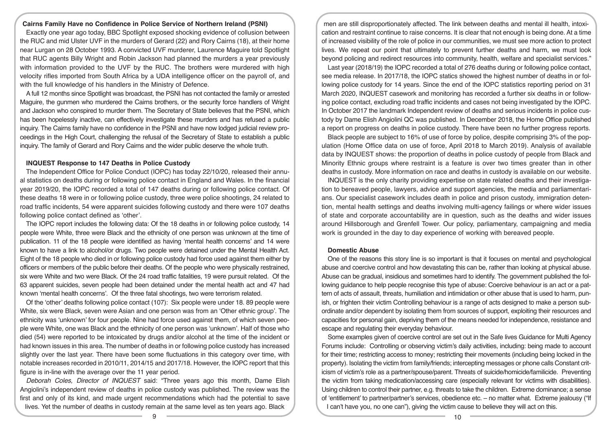# **Cairns Family Have no Confidence in Police Service of Northern Ireland (PSNI)**

Exactly one year ago today, BBC Spotlight exposed shocking evidence of collusion between the RUC and mid Ulster UVF in the murders of Gerard (22) and Rory Cairns (18), at their home near Lurgan on 28 October 1993. A convicted UVF murderer, Laurence Maguire told Spotlight that RUC agents Billy Wright and Robin Jackson had planned the murders a year previously with information provided to the UVF by the RUC. The brothers were murdered with high velocity rifles imported from South Africa by a UDA intelligence officer on the payroll of, and with the full knowledge of his handlers in the Ministry of Defence.

A full 12 months since Spotlight was broadcast, the PSNI has not contacted the family or arrested Maguire, the gunmen who murdered the Cairns brothers, or the security force handlers of Wright and Jackson who conspired to murder them. The Secretary of State believes that the PSNI, which has been hopelessly inactive, can effectively investigate these murders and has refused a public inquiry. The Cairns family have no confidence in the PSNI and have now lodged judicial review proceedings in the High Court, challenging the refusal of the Secretary of State to establish a public inquiry. The family of Gerard and Rory Cairns and the wider public deserve the whole truth.

#### **INQUEST Response to 147 Deaths in Police Custody**

The Independent Office for Police Conduct (IOPC) has today 22/10/20, released their annual statistics on deaths during or following police contact in England and Wales. In the financial year 2019/20, the IOPC recorded a total of 147 deaths during or following police contact. Of these deaths 18 were in or following police custody, three were police shootings, 24 related to road traffic incidents, 54 were apparent suicides following custody and there were 107 deaths following police contact defined as 'other'.

The IOPC report includes the following data: Of the 18 deaths in or following police custody, 14 people were White, three were Black and the ethnicity of one person was unknown at the time of publication. 11 of the 18 people were identified as having 'mental health concerns' and 14 were known to have a link to alcohol/or drugs. Two people were detained under the Mental Health Act. Eight of the 18 people who died in or following police custody had force used against them either by officers or members of the public before their deaths. Of the people who were physically restrained, six were White and two were Black. Of the 24 road traffic fatalities, 19 were pursuit related. Of the 63 apparent suicides, seven people had been detained under the mental health act and 47 had known 'mental health concerns'. Of the three fatal shootings, two were terrorism related.

Of the 'other' deaths following police contact (107): Six people were under 18. 89 people were White, six were Black, seven were Asian and one person was from an 'Other ethnic group'. The ethnicity was 'unknown' for four people. Nine had force used against them, of which seven people were White, one was Black and the ethnicity of one person was 'unknown'. Half of those who died (54) were reported to be intoxicated by drugs and/or alcohol at the time of the incident or had known issues in this area. The number of deaths in or following police custody has increased slightly over the last year. There have been some fluctuations in this category over time, with notable increases recorded in 2010/11, 2014/15 and 2017/18. However, the IOPC report that this figure is in-line with the average over the 11 year period.

*Deborah Coles, Director of INQUEST* said: "Three years ago this month, Dame Elish Angiolini's independent review of deaths in police custody was published. The review was the first and only of its kind, and made urgent recommendations which had the potential to save lives. Yet the number of deaths in custody remain at the same level as ten years ago. Black

men are still disproportionately affected. The link between deaths and mental ill health, intoxication and restraint continue to raise concerns. It is clear that not enough is being done. At a time of increased visibility of the role of police in our communities, we must see more action to protect lives. We repeat our point that ultimately to prevent further deaths and harm, we must look beyond policing and redirect resources into community, health, welfare and specialist services."

Last year (2018/19) the IOPC recorded a total of 276 deaths during or following police contact, see media release. In 2017/18, the IOPC statics showed the highest number of deaths in or following police custody for 14 years. Since the end of the IOPC statistics reporting period on 31 March 2020, INQUEST casework and monitoring has recorded a further six deaths in or following police contact, excluding road traffic incidents and cases not being investigated by the IOPC. In October 2017 the landmark Independent review of deaths and serious incidents in police custody by Dame Elish Angiolini QC was published. In December 2018, the Home Office published a report on progress on deaths in police custody. There have been no further progress reports.

Black people are subject to 16% of use of force by police, despite comprising 3% of the population (Home Office data on use of force, April 2018 to March 2019). Analysis of available data by INQUEST shows: the proportion of deaths in police custody of people from Black and Minority Ethnic groups where restraint is a feature is over two times greater than in other deaths in custody. More information on race and deaths in custody is available on our website.

INQUEST is the only charity providing expertise on state related deaths and their investigation to bereaved people, lawyers, advice and support agencies, the media and parliamentarians. Our specialist casework includes death in police and prison custody, immigration detention, mental health settings and deaths involving multi-agency failings or where wider issues of state and corporate accountability are in question, such as the deaths and wider issues around Hillsborough and Grenfell Tower. Our policy, parliamentary, campaigning and media work is grounded in the day to day experience of working with bereaved people.

### **Domestic Abuse**

One of the reasons this story line is so important is that it focuses on mental and psychological abuse and coercive control and how devastating this can be, rather than looking at physical abuse. Abuse can be gradual, insidious and sometimes hard to identify. The government published the following guidance to help people recognise this type of abuse: Coercive behaviour is an act or a pattern of acts of assault, threats, humiliation and intimidation or other abuse that is used to harm, punish, or frighten their victim Controlling behaviour is a range of acts designed to make a person subordinate and/or dependent by isolating them from sources of support, exploiting their resources and capacities for personal gain, depriving them of the means needed for independence, resistance and escape and regulating their everyday behaviour.

Some examples given of coercive control are set out in the Safe lives Guidance for Multi Agency Forums include: Controlling or observing victim's daily activities, including: being made to account for their time; restricting access to money; restricting their movements (including being locked in the property). Isolating the victim from family/friends; intercepting messages or phone calls Constant criticism of victim's role as a partner/spouse/parent. Threats of suicide/homicide/familicide. Preventing the victim from taking medication/accessing care (especially relevant for victims with disabilities). Using children to control their partner, e.g. threats to take the children. Extreme dominance; a sense of 'entitlement' to partner/partner's services, obedience etc. – no matter what. Extreme jealousy ("If I can't have you, no one can"), giving the victim cause to believe they will act on this.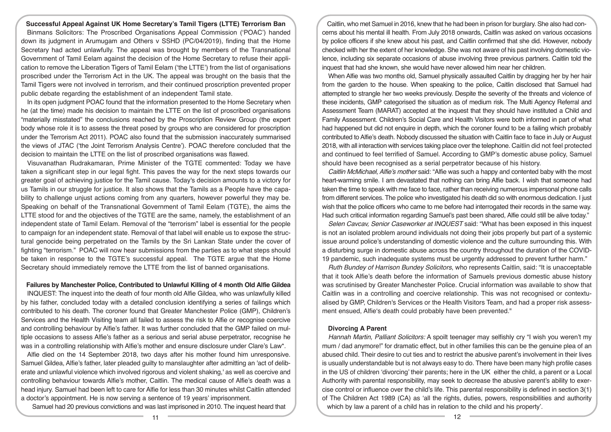#### **Successful Appeal Against UK Home Secretary's Tamil Tigers (LTTE) Terrorism Ban**

Binmans Solicitors: The Proscribed Organisations Appeal Commission ('POAC') handed down its judgment in Arumugam and Others v SSHD (PC/04/2019), finding that the Home Secretary had acted unlawfully. The appeal was brought by members of the Transnational Government of Tamil Eelam against the decision of the Home Secretary to refuse their application to remove the Liberation Tigers of Tamil Eelam ('the LTTE') from the list of organisations proscribed under the Terrorism Act in the UK. The appeal was brought on the basis that the Tamil Tigers were not involved in terrorism, and their continued proscription prevented proper public debate regarding the establishment of an independent Tamil state.

In its open judgment POAC found that the information presented to the Home Secretary when he (at the time) made his decision to maintain the LTTE on the list of proscribed organisations "materially misstated" the conclusions reached by the Proscription Review Group (the expert body whose role it is to assess the threat posed by groups who are considered for proscription under the Terrorism Act 2011). POAC also found that the submission inaccurately summarised the views of JTAC ('the Joint Terrorism Analysis Centre'). POAC therefore concluded that the decision to maintain the LTTE on the list of proscribed organisations was flawed.

Visuvanathan Rudrakamaran, Prime Minister of the TGTE commented: Today we have taken a significant step in our legal fight. This paves the way for the next steps towards our greater goal of achieving justice for the Tamil cause. Today's decision amounts to a victory for us Tamils in our struggle for justice. It also shows that the Tamils as a People have the capability to challenge unjust actions coming from any quarters, however powerful they may be. Speaking on behalf of the Transnational Government of Tamil Eelam (TGTE), the aims the LTTE stood for and the objectives of the TGTE are the same, namely, the establishment of an independent state of Tamil Eelam. Removal of the "terrorism" label is essential for the people to campaign for an independent state. Removal of that label will enable us to expose the structural genocide being perpetrated on the Tamils by the Sri Lankan State under the cover of fighting "terrorism." POAC will now hear submissions from the parties as to what steps should be taken in response to the TGTE's successful appeal. The TGTE argue that the Home Secretary should immediately remove the LTTE from the list of banned organisations.

### **Failures by Manchester Police, Contributed to Unlawful Killing of 4 month Old Alfie Gildea**

INQUEST: The inquest into the death of four month old Alfie Gildea, who was unlawfully killed by his father, concluded today with a detailed conclusion identifying a series of failings which contributed to his death. The coroner found that Greater Manchester Police (GMP), Children's Services and the Health Visiting team all failed to assess the risk to Alfie or recognise coercive and controlling behaviour by Alfie's father. It was further concluded that the GMP failed on multiple occasions to assess Alfie's father as a serious and serial abuse perpetrator, recognise he was in a controlling relationship with Alfie's mother and ensure disclosure under Clare's Law\*.

Alfie died on the 14 September 2018, two days after his mother found him unresponsive. Samuel Gildea, Alfie's father, later pleaded guilty to manslaughter after admitting an 'act of deliberate and unlawful violence which involved rigorous and violent shaking,' as well as coercive and controlling behaviour towards Alfie's mother, Caitlin. The medical cause of Alfie's death was a head injury. Samuel had been left to care for Alfie for less than 30 minutes whilst Caitlin attended a doctor's appointment. He is now serving a sentence of 19 years' imprisonment.

Samuel had 20 previous convictions and was last imprisoned in 2010. The inquest heard that

Caitlin, who met Samuel in 2016, knew that he had been in prison for burglary. She also had concerns about his mental ill health. From July 2018 onwards, Caitlin was asked on various occasions by police officers if she knew about his past, and Caitlin confirmed that she did. However, nobody checked with her the extent of her knowledge. She was not aware of his past involving domestic violence, including six separate occasions of abuse involving three previous partners. Caitlin told the inquest that had she known, she would have never allowed him near her children.

When Alfie was two months old, Samuel physically assaulted Caitlin by dragging her by her hair from the garden to the house. When speaking to the police, Caitlin disclosed that Samuel had attempted to strangle her two weeks previously. Despite the severity of the threats and violence of these incidents, GMP categorised the situation as of medium risk. The Multi Agency Referral and Assessment Team (MARAT) accepted at the inquest that they should have instituted a Child and Family Assessment. Children's Social Care and Health Visitors were both informed in part of what had happened but did not enquire in depth, which the coroner found to be a failing which probably contributed to Alfie's death. Nobody discussed the situation with Caitlin face to face in July or August 2018, with all interaction with services taking place over the telephone. Caitlin did not feel protected and continued to feel terrified of Samuel. According to GMP's domestic abuse policy, Samuel should have been recognised as a serial perpetrator because of his history.

*Caitlin McMichael, Alfie's mother* said: "Alfie was such a happy and contented baby with the most heart-warming smile. I am devastated that nothing can bring Alfie back. I wish that someone had taken the time to speak with me face to face, rather than receiving numerous impersonal phone calls from different services. The police who investigated his death did so with enormous dedication. I just wish that the police officers who came to me before had interrogated their records in the same way. Had such critical information regarding Samuel's past been shared, Alfie could still be alive today."

*Selen Cavcav, Senior Caseworker at INQUEST* said: "What has been exposed in this inquest is not an isolated problem around individuals not doing their jobs properly but part of a systemic issue around police's understanding of domestic violence and the culture surrounding this. With a disturbing surge in domestic abuse across the country throughout the duration of the COVID-19 pandemic, such inadequate systems must be urgently addressed to prevent further harm."

*Ruth Bundey of Harrison Bundey Solicitors*, who represents Caitlin, said: "It is unacceptable that it took Alfie's death before the information of Samuels previous domestic abuse history was scrutinised by Greater Manchester Police. Crucial information was available to show that Caitlin was in a controlling and coercive relationship. This was not recognised or contextualised by GMP, Children's Services or the Health Visitors Team, and had a proper risk assessment ensued, Alfie's death could probably have been prevented."

### **Divorcing A Parent**

*Hannah Martin, Palliant Solicitors:* A spoilt teenager may selfishly cry "I wish you weren't my mum / dad anymore!" for dramatic effect, but in other families this can be the genuine plea of an abused child. Their desire to cut ties and to restrict the abusive parent's involvement in their lives is usually understandable but is not always easy to do. There have been many high profile cases in the US of children 'divorcing' their parents; here in the UK either the child, a parent or a Local Authority with parental responsibility, may seek to decrease the abusive parent's ability to exercise control or influence over the child's life. This parental responsibility is defined in section 3(1) of The Children Act 1989 (CA) as 'all the rights, duties, powers, responsibilities and authority which by law a parent of a child has in relation to the child and his property'.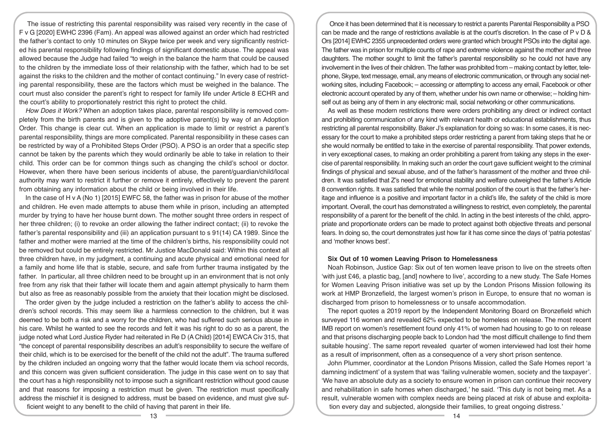The issue of restricting this parental responsibility was raised very recently in the case of F v G [2020] EWHC 2396 (Fam). An appeal was allowed against an order which had restricted the father's contact to only 10 minutes on Skype twice per week and very significantly restricted his parental responsibility following findings of significant domestic abuse. The appeal was allowed because the Judge had failed "to weigh in the balance the harm that could be caused to the children by the immediate loss of their relationship with the father, which had to be set against the risks to the children and the mother of contact continuing." In every case of restricting parental responsibility, these are the factors which must be weighed in the balance. The court must also consider the parent's right to respect for family life under Article 8 ECHR and the court's ability to proportionately restrict this right to protect the child.

*How Does it Work?* When an adoption takes place, parental responsibility is removed completely from the birth parents and is given to the adoptive parent(s) by way of an Adoption Order. This change is clear cut. When an application is made to limit or restrict a parent's parental responsibility, things are more complicated. Parental responsibility in these cases can be restricted by way of a Prohibited Steps Order (PSO). A PSO is an order that a specific step cannot be taken by the parents which they would ordinarily be able to take in relation to their child. This order can be for common things such as changing the child's school or doctor. However, when there have been serious incidents of abuse, the parent/guardian/child/local authority may want to restrict it further or remove it entirely, effectively to prevent the parent from obtaining any information about the child or being involved in their life.

In the case of H v A (No 1) [2015] EWFC 58, the father was in prison for abuse of the mother and children. He even made attempts to abuse them while in prison, including an attempted murder by trying to have her house burnt down. The mother sought three orders in respect of her three children; (i) to revoke an order allowing the father indirect contact; (ii) to revoke the father's parental responsibility and (iii) an application pursuant to s 91(14) CA 1989. Since the father and mother were married at the time of the children's births, his responsibility could not be removed but could be entirely restricted. Mr Justice MacDonald said: Within this context all three children have, in my judgment, a continuing and acute physical and emotional need for a family and home life that is stable, secure, and safe from further trauma instigated by the father. In particular, all three children need to be brought up in an environment that is not only free from any risk that their father will locate them and again attempt physically to harm them but also as free as reasonably possible from the anxiety that their location might be disclosed.

The order given by the judge included a restriction on the father's ability to access the children's school records. This may seem like a harmless connection to the children, but it was deemed to be both a risk and a worry for the children, who had suffered such serious abuse in his care. Whilst he wanted to see the records and felt it was his right to do so as a parent, the judge noted what Lord Justice Ryder had reiterated in Re D (A Child) [2014] EWCA Civ 315, that "the concept of parental responsibility describes an adult's responsibility to secure the welfare of their child, which is to be exercised for the benefit of the child not the adult". The trauma suffered by the children included an ongoing worry that the father would locate them via school records, and this concern was given sufficient consideration. The judge in this case went on to say that the court has a high responsibility not to impose such a significant restriction without good cause and that reasons for imposing a restriction must be given. The restriction must specifically address the mischief it is designed to address, must be based on evidence, and must give sufficient weight to any benefit to the child of having that parent in their life.

Once it has been determined that it is necessary to restrict a parents Parental Responsibility a PSO can be made and the range of restrictions available is at the court's discretion. In the case of P v D & Ors [2014] EWHC 2355 unprecedented orders were granted which brought PSOs into the digital age. The father was in prison for multiple counts of rape and extreme violence against the mother and three daughters. The mother sought to limit the father's parental responsibility so he could not have any involvement in the lives of their children. The father was prohibited from – making contact by letter, telephone, Skype, text message, email, any means of electronic communication, or through any social networking sites, including Facebook; – accessing or attempting to access any email, Facebook or other electronic account operated by any of them, whether under his own name or otherwise; – holding himself out as being any of them in any electronic mail, social networking or other communications.

As well as these modern restrictions there were orders prohibiting any direct or indirect contact and prohibiting communication of any kind with relevant health or educational establishments, thus restricting all parental responsibility. Baker J's explanation for doing so was: In some cases, it is necessary for the court to make a prohibited steps order restricting a parent from taking steps that he or she would normally be entitled to take in the exercise of parental responsibility. That power extends, in very exceptional cases, to making an order prohibiting a parent from taking any steps in the exercise of parental responsibility. In making such an order the court gave sufficient weight to the criminal findings of physical and sexual abuse, and of the father's harassment of the mother and three children. It was satisfied that Z's need for emotional stability and welfare outweighed the father's Article 8 convention rights. It was satisfied that while the normal position of the court is that the father's heritage and influence is a positive and important factor in a child's life, the safety of the child is more important. Overall, the court has demonstrated a willingness to restrict, even completely, the parental responsibility of a parent for the benefit of the child. In acting in the best interests of the child, appropriate and proportionate orders can be made to protect against both objective threats and personal fears. In doing so, the court demonstrates just how far it has come since the days of 'patria potestas' and 'mother knows best'.

### **Six Out of 10 women Leaving Prison to Homelessness**

Noah Robinson, Justice Gap: Six out of ten women leave prison to live on the streets often 'with just £46, a plastic bag, [and] nowhere to live', according to a new study. The Safe Homes for Women Leaving Prison initiative was set up by the London Prisons Mission following its work at HMP Bronzefield, the largest women's prison in Europe, to ensure that no woman is discharged from prison to homelessness or to unsafe accommodation.

The report quotes a 2019 report by the Independent Monitoring Board on Bronzefield which surveyed 116 women and revealed 62% expected to be homeless on release. The most recent IMB report on women's resettlement found only 41% of women had housing to go to on release and that prisons discharging people back to London had 'the most difficult challenge to find them suitable housing'. The same report revealed quarter of women interviewed had lost their home as a result of imprisonment, often as a consequence of a very short prison sentence.

John Plummer, coordinator at the London Prisons Mission, called the Safe Homes report 'a damning indictment' of a system that was 'failing vulnerable women, society and the taxpayer'. 'We have an absolute duty as a society to ensure women in prison can continue their recovery and rehabilitation in safe homes when discharged,' he said. 'This duty is not being met. As a result, vulnerable women with complex needs are being placed at risk of abuse and exploitation every day and subjected, alongside their families, to great ongoing distress.'